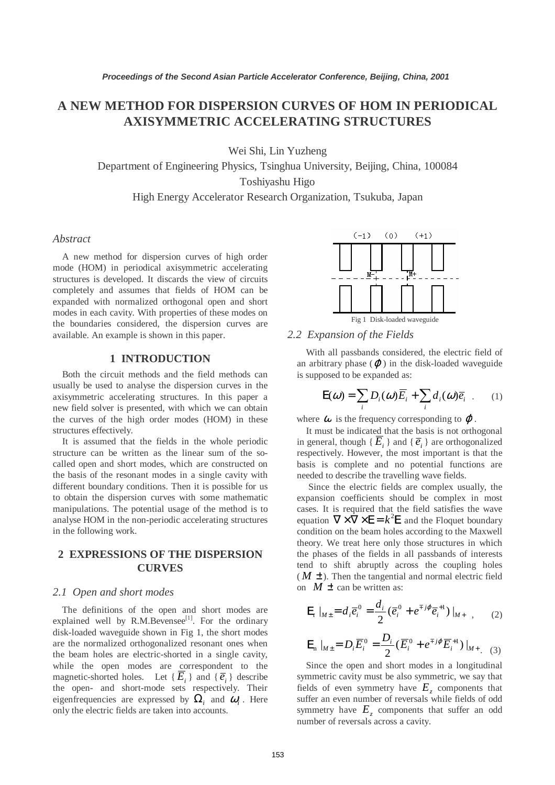# **A NEW METHOD FOR DISPERSION CURVES OF HOM IN PERIODICAL AXISYMMETRIC ACCELERATING STRUCTURES**

Wei Shi, Lin Yuzheng

Department of Engineering Physics, Tsinghua University, Beijing, China, 100084

Toshiyashu Higo

High Energy Accelerator Research Organization, Tsukuba, Japan

#### *Abstract*

A new method for dispersion curves of high order mode (HOM) in periodical axisymmetric accelerating structures is developed. It discards the view of circuits completely and assumes that fields of HOM can be expanded with normalized orthogonal open and short modes in each cavity. With properties of these modes on the boundaries considered, the dispersion curves are available. An example is shown in this paper.

## **1 INTRODUCTION**

Both the circuit methods and the field methods can usually be used to analyse the dispersion curves in the axisymmetric accelerating structures. In this paper a new field solver is presented, with which we can obtain the curves of the high order modes (HOM) in these structures effectively.

It is assumed that the fields in the whole periodic structure can be written as the linear sum of the socalled open and short modes, which are constructed on the basis of the resonant modes in a single cavity with different boundary conditions. Then it is possible for us to obtain the dispersion curves with some mathematic manipulations. The potential usage of the method is to analyse HOM in the non-periodic accelerating structures in the following work.

## **2 EXPRESSIONS OF THE DISPERSION CURVES**

#### *2.1 Open and short modes*

The definitions of the open and short modes are explained well by R.M.Bevensee<sup>[1]</sup>. For the ordinary disk-loaded waveguide shown in Fig 1, the short modes are the normalized orthogonalized resonant ones when the beam holes are electric-shorted in a single cavity, while the open modes are correspondent to the magnetic-shorted holes. Let  $\{E_i\}$  and  $\{\overline{e}_i\}$  describe the open- and short-mode sets respectively. Their eigenfrequencies are expressed by  $\Omega_i$  and  $\omega_i$ . Here only the electric fields are taken into accounts.



## *2.2 Expansion of the Fields*

With all passbands considered, the electric field of an arbitrary phase  $(\varphi)$  in the disk-loaded waveguide is supposed to be expanded as:

$$
\mathbf{E}(\omega) = \sum_{i} D_i(\omega) \overline{E}_i + \sum_{i} d_i(\omega) \overline{e}_i \quad (1)
$$

where  $\omega$  is the frequency corresponding to  $\varphi$ .

It must be indicated that the basis is not orthogonal in general, though { $\overline{E}_i$ } and { $\overline{e}_i$ } are orthogonalized respectively. However, the most important is that the basis is complete and no potential functions are needed to describe the travelling wave fields.

 Since the electric fields are complex usually, the expansion coefficients should be complex in most cases. It is required that the field satisfies the wave equation  $\nabla \times \nabla \times \mathbf{E} = k^2 \mathbf{E}$  and the Floquet boundary condition on the beam holes according to the Maxwell theory. We treat here only those structures in which the phases of the fields in all passbands of interests tend to shift abruptly across the coupling holes  $(M \pm)$ . Then the tangential and normal electric field on  $M \pm$  can be written as:

$$
\mathbf{E}_{i}|_{M\pm} = d_{i}\overline{e}_{i}^{0} = \frac{d_{i}}{2}(\overline{e}_{i}^{0} + e^{\mp j\varphi}\overline{e}_{i}^{+1})|_{M+} , \qquad (2)
$$

$$
\mathbf{E}_{n} \mid_{M \pm} = D_{i} \overline{E}_{i}^{0} = \frac{D_{i}}{2} (\overline{E}_{i}^{0} + e^{\mp j \varphi} \overline{E}_{i}^{+1}) \mid_{M + . (3)}
$$

Since the open and short modes in a longitudinal symmetric cavity must be also symmetric, we say that fields of even symmetry have  $E<sub>z</sub>$  components that suffer an even number of reversals while fields of odd symmetry have  $E_z$  components that suffer an odd number of reversals across a cavity.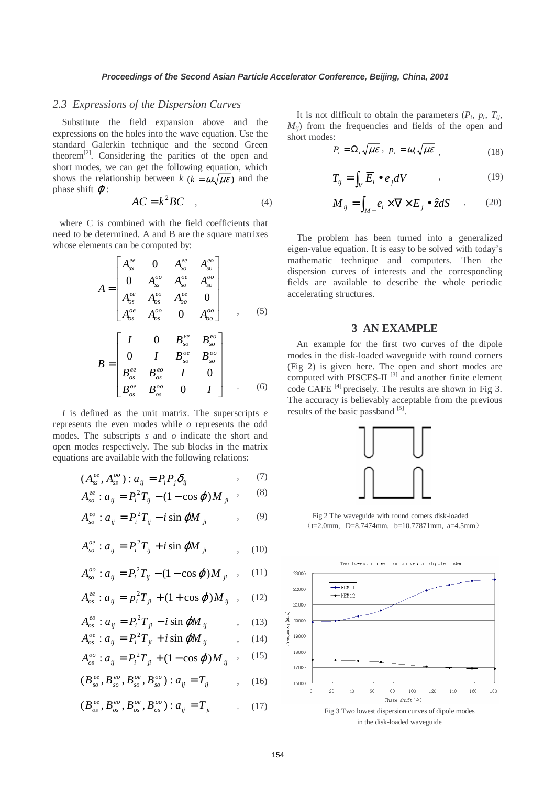#### *2.3 Expressions of the Dispersion Curves*

Substitute the field expansion above and the expressions on the holes into the wave equation. Use the standard Galerkin technique and the second Green theorem $^{[2]}$ . Considering the parities of the open and short modes, we can get the following equation, which shows the relationship between  $k$  ( $k = \omega \sqrt{\mu \varepsilon}$ ) and the phase shift  $\varphi$ :

$$
AC = k^2 BC \quad , \tag{4}
$$

where C is combined with the field coefficients that need to be determined. A and B are the square matrixes whose elements can be computed by:

$$
A = \begin{bmatrix} A_{ss}^{ee} & 0 & A_{so}^{ee} & A_{so}^{eo} \\ 0 & A_{ss}^{oo} & A_{so}^{oe} & A_{so}^{oo} \\ A_{os}^{ee} & A_{os}^{eo} & A_{oo}^{ee} & 0 \\ A_{os}^{oe} & A_{os}^{oo} & 0 & A_{oo}^{oo} \end{bmatrix} , \quad (5)
$$

$$
B = \begin{bmatrix} I & 0 & B_{so}^{ee} & B_{so}^{eo} \\ 0 & I & B_{so}^{oe} & B_{so}^{oo} \\ B_{os}^{ee} & B_{os}^{eo} & I & 0 \\ B_{os}^{oe} & B_{os}^{oo} & 0 & I \end{bmatrix} . \quad (6)
$$

*I* is defined as the unit matrix. The superscripts *e*  represents the even modes while *o* represents the odd modes. The subscripts *s* and *o* indicate the short and open modes respectively. The sub blocks in the matrix equations are available with the following relations:

$$
(A_{ss}^{ee}, A_{ss}^{oo}) : a_{ij} = P_i P_j \delta_{ij} \tag{7}
$$

$$
A_{so}^{ee}: a_{ij} = P_i^2 T_{ij} - (1 - \cos \varphi) M_{ji} \quad , \qquad (8)
$$

$$
A_{so}^{eo}: a_{ij} = P_i^2 T_{ij} - i \sin \varphi M_{ji} \qquad , \qquad (9)
$$

$$
A_{so}^{oe}: a_{ij} = P_i^2 T_{ij} + i \sin \varphi M_{ji} \qquad , \quad (10)
$$

$$
A_{so}^{oo}: a_{ij} = P_i^2 T_{ij} - (1 - \cos \varphi) M_{ji} \quad , \quad (11)
$$

$$
A_{os}^{ee} : a_{ij} = p_i^2 T_{ji} + (1 + \cos \varphi) M_{ij} \quad , \quad (12)
$$

$$
A_{os}^{eo}: a_{ij} = P_i^2 T_{ji} - i \sin \varphi M_{ij} \qquad , \quad (13)
$$

 $A_{os}^{oe}: a_{ij} = P_i^2 T_{ji} + i \sin \varphi M_{ij}$  $(14)$ 

$$
A_{os}^{oo}: a_{ij} = P_i^2 T_{ji} + (1 - \cos \varphi) M_{ij} \quad , \quad (15)
$$

$$
(B_{so}^{ee}, B_{so}^{eo}, B_{so}^{oe}, B_{so}^{oo}) : a_{ij} = T_{ij} \qquad , \quad (16)
$$

$$
(B_{os}^{ee}, B_{os}^{eo}, B_{os}^{oe}, B_{os}^{oo}) : a_{ij} = T_{ji} \tag{17}
$$

It is not difficult to obtain the parameters  $(P_i, p_i, T_{ij})$ *Mij*) from the frequencies and fields of the open and short modes:

$$
P_i = \Omega_i \sqrt{\mu \varepsilon} , p_i = \omega_i \sqrt{\mu \varepsilon} , \qquad (18)
$$

$$
T_{ij} = \int_{V} \overline{E}_i \bullet \overline{e}_j dV \qquad , \qquad (19)
$$

$$
M_{ij} = \int_{M} \overline{e}_i \times \nabla \times \overline{E}_j \bullet \hat{z} dS \qquad (20)
$$

The problem has been turned into a generalized eigen-value equation. It is easy to be solved with today's mathematic technique and computers. Then the dispersion curves of interests and the corresponding fields are available to describe the whole periodic accelerating structures.

## **3 AN EXAMPLE**

An example for the first two curves of the dipole modes in the disk-loaded waveguide with round corners (Fig 2) is given here. The open and short modes are computed with PISCES-II  $[3]$  and another finite element code CAFE [4] precisely. The results are shown in Fig 3. The accuracy is believably acceptable from the previous results of the basic passband [5].



Fig 2 The waveguide with round corners disk-loaded  $(t=2.0$ mm, D=8.7474mm, b=10.77871mm, a=4.5mm)